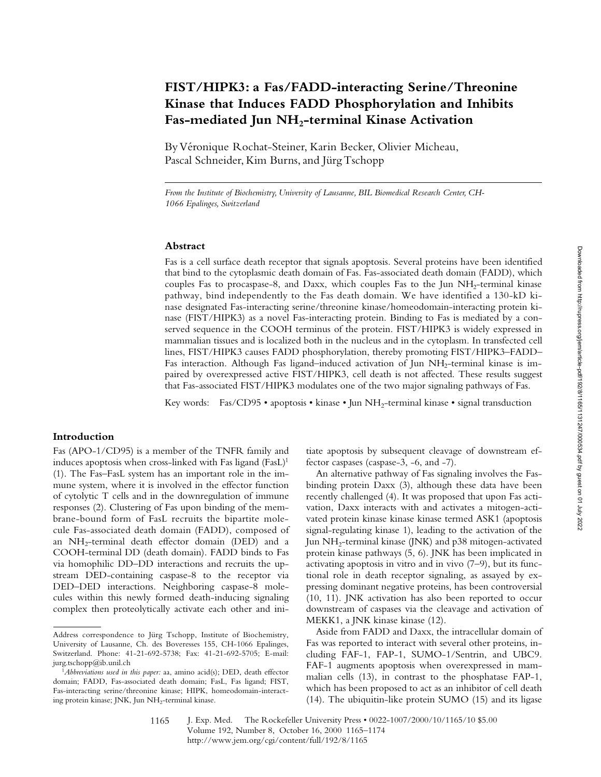# **FIST/HIPK3: a Fas/FADD-interacting Serine/Threonine Kinase that Induces FADD Phosphorylation and Inhibits**  Fas-mediated Jun NH<sub>2</sub>-terminal Kinase Activation

By Véronique Rochat-Steiner, Karin Becker, Olivier Micheau, Pascal Schneider, Kim Burns, and Jürg Tschopp

*From the Institute of Biochemistry, University of Lausanne, BIL Biomedical Research Center, CH-1066 Epalinges, Switzerland*

## **Abstract**

Fas is a cell surface death receptor that signals apoptosis. Several proteins have been identified that bind to the cytoplasmic death domain of Fas. Fas-associated death domain (FADD), which couples Fas to procaspase-8, and Daxx, which couples Fas to the Jun  $NH<sub>2</sub>$ -terminal kinase pathway, bind independently to the Fas death domain. We have identified a 130-kD kinase designated Fas-interacting serine/threonine kinase/homeodomain-interacting protein kinase (FIST/HIPK3) as a novel Fas-interacting protein. Binding to Fas is mediated by a conserved sequence in the COOH terminus of the protein. FIST/HIPK3 is widely expressed in mammalian tissues and is localized both in the nucleus and in the cytoplasm. In transfected cell lines, FIST/HIPK3 causes FADD phosphorylation, thereby promoting FIST/HIPK3–FADD– Fas interaction. Although Fas ligand-induced activation of Jun NH<sub>2</sub>-terminal kinase is impaired by overexpressed active FIST/HIPK3, cell death is not affected. These results suggest that Fas-associated FIST/HIPK3 modulates one of the two major signaling pathways of Fas.

Key words: Fas/CD95 • apoptosis • kinase • Jun NH<sub>2</sub>-terminal kinase • signal transduction

## **Introduction**

Fas (APO-1/CD95) is a member of the TNFR family and induces apoptosis when cross-linked with Fas ligand  $(FasL)^1$ (1). The Fas–FasL system has an important role in the immune system, where it is involved in the effector function of cytolytic T cells and in the downregulation of immune responses (2). Clustering of Fas upon binding of the membrane-bound form of FasL recruits the bipartite molecule Fas-associated death domain (FADD), composed of an NH<sub>2</sub>-terminal death effector domain (DED) and a COOH-terminal DD (death domain). FADD binds to Fas via homophilic DD–DD interactions and recruits the upstream DED-containing caspase-8 to the receptor via DED–DED interactions. Neighboring caspase-8 molecules within this newly formed death-inducing signaling complex then proteolytically activate each other and initiate apoptosis by subsequent cleavage of downstream effector caspases (caspase-3, -6, and -7).

An alternative pathway of Fas signaling involves the Fasbinding protein Daxx (3), although these data have been recently challenged (4). It was proposed that upon Fas activation, Daxx interacts with and activates a mitogen-activated protein kinase kinase kinase termed ASK1 (apoptosis signal-regulating kinase 1), leading to the activation of the Jun  $NH<sub>2</sub>$ -terminal kinase (JNK) and p38 mitogen-activated protein kinase pathways (5, 6). JNK has been implicated in activating apoptosis in vitro and in vivo (7–9), but its functional role in death receptor signaling, as assayed by expressing dominant negative proteins, has been controversial (10, 11). JNK activation has also been reported to occur downstream of caspases via the cleavage and activation of MEKK1, a JNK kinase kinase (12).

Aside from FADD and Daxx, the intracellular domain of Fas was reported to interact with several other proteins, including FAF-1, FAP-1, SUMO-1/Sentrin, and UBC9. FAF-1 augments apoptosis when overexpressed in mammalian cells (13), in contrast to the phosphatase FAP-1, which has been proposed to act as an inhibitor of cell death (14). The ubiquitin-like protein SUMO (15) and its ligase

Address correspondence to Jürg Tschopp, Institute of Biochemistry, University of Lausanne, Ch. des Boveresses 155, CH-1066 Epalinges, Switzerland. Phone: 41-21-692-5738; Fax: 41-21-692-5705; E-mail: jurg.tschopp@ib.unil.ch

<sup>&</sup>lt;sup>1</sup>Abbreviations used in this paper: aa, amino acid(s); DED, death effector domain; FADD, Fas-associated death domain; FasL, Fas ligand; FIST, Fas-interacting serine/threonine kinase; HIPK, homeodomain-interacting protein kinase; JNK, Jun NH<sub>2</sub>-terminal kinase.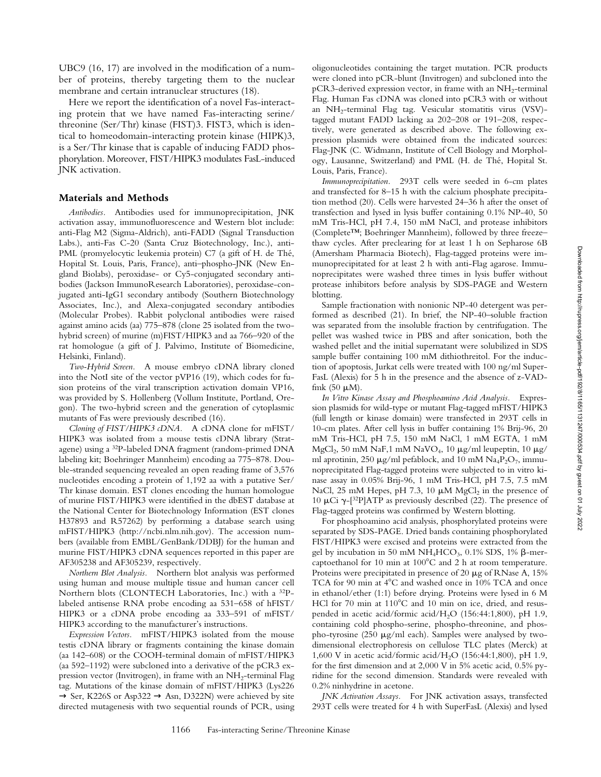UBC9 (16, 17) are involved in the modification of a number of proteins, thereby targeting them to the nuclear membrane and certain intranuclear structures (18).

Here we report the identification of a novel Fas-interacting protein that we have named Fas-interacting serine/ threonine (Ser/Thr) kinase (FIST)3. FIST3, which is identical to homeodomain-interacting protein kinase (HIPK)3, is a Ser/Thr kinase that is capable of inducing FADD phosphorylation. Moreover, FIST/HIPK3 modulates FasL-induced JNK activation.

#### **Materials and Methods**

*Antibodies.* Antibodies used for immunoprecipitation, JNK activation assay, immunofluorescence and Western blot include: anti-Flag M2 (Sigma-Aldrich), anti-FADD (Signal Transduction Labs.), anti-Fas C-20 (Santa Cruz Biotechnology, Inc.), anti-PML (promyelocytic leukemia protein) C7 (a gift of H. de Thé, Hopital St. Louis, Paris, France), anti–phospho-JNK (New England Biolabs), peroxidase- or Cy5-conjugated secondary antibodies (Jackson ImmunoResearch Laboratories), peroxidase-conjugated anti-IgG1 secondary antibody (Southern Biotechnology Associates, Inc.), and Alexa-conjugated secondary antibodies (Molecular Probes). Rabbit polyclonal antibodies were raised against amino acids (aa) 775–878 (clone 25 isolated from the twohybrid screen) of murine (m)FIST/HIPK3 and aa 766–920 of the rat homologue (a gift of J. Palvimo, Institute of Biomedicine, Helsinki, Finland).

*Two-Hybrid Screen.* A mouse embryo cDNA library cloned into the NotI site of the vector pVP16 (19), which codes for fusion proteins of the viral transcription activation domain VP16, was provided by S. Hollenberg (Vollum Institute, Portland, Oregon). The two-hybrid screen and the generation of cytoplasmic mutants of Fas were previously described (16).

*Cloning of FIST/HIPK3 cDNA.* A cDNA clone for mFIST/ HIPK3 was isolated from a mouse testis cDNA library (Stratagene) using a 32P-labeled DNA fragment (random-primed DNA labeling kit; Boehringer Mannheim) encoding aa 775–878. Double-stranded sequencing revealed an open reading frame of 3,576 nucleotides encoding a protein of 1,192 aa with a putative Ser/ Thr kinase domain. EST clones encoding the human homologue of murine FIST/HIPK3 were identified in the dbEST database at the National Center for Biotechnology Information (EST clones H37893 and R57262) by performing a database search using mFIST/HIPK3 (http://ncbi.nlm.nih.gov). The accession numbers (available from EMBL/GenBank/DDBJ) for the human and murine FIST/HIPK3 cDNA sequences reported in this paper are AF305238 and AF305239, respectively.

*Northern Blot Analysis.* Northern blot analysis was performed using human and mouse multiple tissue and human cancer cell Northern blots (CLONTECH Laboratories, Inc.) with a 32Plabeled antisense RNA probe encoding aa 531–658 of hFIST/ HIPK3 or a cDNA probe encoding aa 333–591 of mFIST/ HIPK3 according to the manufacturer's instructions.

*Expression Vectors.* mFIST/HIPK3 isolated from the mouse testis cDNA library or fragments containing the kinase domain (aa 142–608) or the COOH-terminal domain of mFIST/HIPK3 (aa 592–1192) were subcloned into a derivative of the pCR3 expression vector (Invitrogen), in frame with an  $NH_2$ -terminal Flag tag. Mutations of the kinase domain of mFIST/HIPK3 (Lys226  $\rightarrow$  Ser, K226S or Asp322  $\rightarrow$  Asn, D322N) were achieved by site directed mutagenesis with two sequential rounds of PCR, using

oligonucleotides containing the target mutation. PCR products were cloned into pCR-blunt (Invitrogen) and subcloned into the  $pCR3$ -derived expression vector, in frame with an  $NH<sub>2</sub>$ -terminal Flag. Human Fas cDNA was cloned into pCR3 with or without an NH2-terminal Flag tag. Vesicular stomatitis virus (VSV) tagged mutant FADD lacking aa 202–208 or 191–208, respectively, were generated as described above. The following expression plasmids were obtained from the indicated sources: Flag-JNK (C. Widmann, Institute of Cell Biology and Morphology, Lausanne, Switzerland) and PML (H. de Thé, Hopital St. Louis, Paris, France).

*Immunoprecipitation.* 293T cells were seeded in 6-cm plates and transfected for 8–15 h with the calcium phosphate precipitation method (20). Cells were harvested 24–36 h after the onset of transfection and lysed in lysis buffer containing 0.1% NP-40, 50 mM Tris-HCl, pH 7.4, 150 mM NaCl, and protease inhibitors (Complete™; Boehringer Mannheim), followed by three freeze– thaw cycles. After preclearing for at least 1 h on Sepharose 6B (Amersham Pharmacia Biotech), Flag-tagged proteins were immunoprecipitated for at least 2 h with anti-Flag agarose. Immunoprecipitates were washed three times in lysis buffer without protease inhibitors before analysis by SDS-PAGE and Western blotting.

Sample fractionation with nonionic NP-40 detergent was performed as described (21). In brief, the NP-40–soluble fraction was separated from the insoluble fraction by centrifugation. The pellet was washed twice in PBS and after sonication, both the washed pellet and the initial supernatant were solubilized in SDS sample buffer containing 100 mM dithiothreitol. For the induction of apoptosis, Jurkat cells were treated with 100 ng/ml Super-FasL (Alexis) for 5 h in the presence and the absence of z-VADfmk  $(50 \mu M)$ .

*In Vitro Kinase Assay and Phosphoamino Acid Analysis.* Expression plasmids for wild-type or mutant Flag-tagged mFIST/HIPK3 (full length or kinase domain) were transfected in 293T cells in 10-cm plates. After cell lysis in buffer containing 1% Brij-96, 20 mM Tris-HCl, pH 7.5, 150 mM NaCl, 1 mM EGTA, 1 mM MgCl<sub>2</sub>, 50 mM NaF,1 mM NaVO<sub>4</sub>, 10  $\mu$ g/ml leupeptin, 10  $\mu$ g/ ml aprotinin, 250  $\mu$ g/ml pefablock, and 10 mM Na<sub>4</sub>P<sub>2</sub>O<sub>7</sub>, immunoprecipitated Flag-tagged proteins were subjected to in vitro kinase assay in 0.05% Brij-96, 1 mM Tris-HCl, pH 7.5, 7.5 mM NaCl, 25 mM Hepes, pH 7.3, 10  $\mu$ M MgCl<sub>2</sub> in the presence of 10 μCi  $\gamma$ -[<sup>32</sup>P]ATP as previously described (22). The presence of Flag-tagged proteins was confirmed by Western blotting.

For phosphoamino acid analysis, phosphorylated proteins were separated by SDS-PAGE. Dried bands containing phosphorylated FIST/HIPK3 were excised and proteins were extracted from the gel by incubation in 50 mM NH<sub>4</sub>HCO<sub>3</sub>, 0.1% SDS, 1%  $\beta$ -mercaptoethanol for 10 min at  $100^{\circ}$ C and 2 h at room temperature. Proteins were precipitated in presence of 20  $\mu$ g of RNase A, 15% TCA for 90 min at 4°C and washed once in 10% TCA and once in ethanol/ether (1:1) before drying. Proteins were lysed in 6 M HCl for 70 min at  $110^{\circ}$ C and 10 min on ice, dried, and resuspended in acetic acid/formic acid/H2O (156:44:1,800), pH 1.9, containing cold phospho-serine, phospho-threonine, and phospho-tyrosine  $(250 \mu g/ml$  each). Samples were analysed by twodimensional electrophoresis on cellulose TLC plates (Merck) at 1,600 V in acetic acid/formic acid/H2O (156:44:1,800), pH 1.9, for the first dimension and at 2,000 V in 5% acetic acid, 0.5% pyridine for the second dimension. Standards were revealed with 0.2% ninhydrine in acetone.

*JNK Activation Assays.* For JNK activation assays, transfected 293T cells were treated for 4 h with SuperFasL (Alexis) and lysed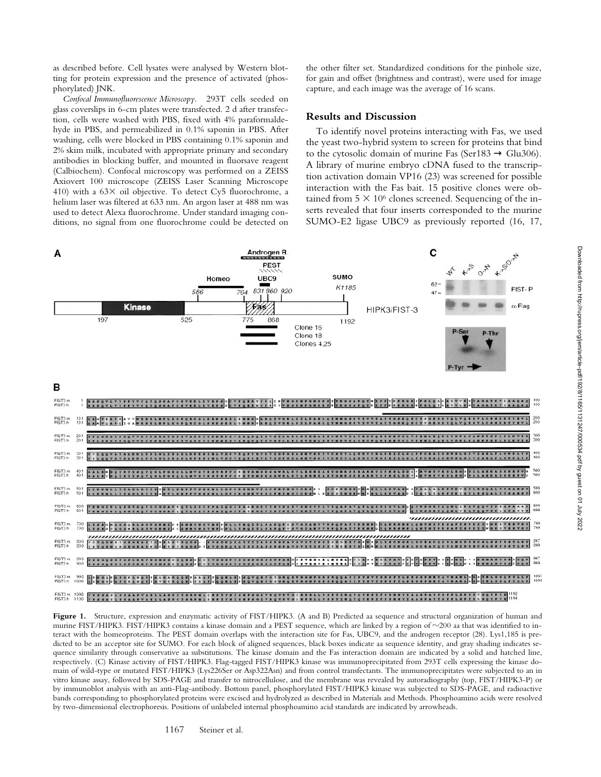as described before. Cell lysates were analysed by Western blotting for protein expression and the presence of activated (phosphorylated) JNK.

*Confocal Immunofluorescence Microscopy.* 293T cells seeded on glass coverslips in 6-cm plates were transfected. 2 d after transfection, cells were washed with PBS, fixed with 4% paraformaldehyde in PBS, and permeabilized in 0.1% saponin in PBS. After washing, cells were blocked in PBS containing 0.1% saponin and 2% skim milk, incubated with appropriate primary and secondary antibodies in blocking buffer, and mounted in fluorsave reagent (Calbiochem). Confocal microscopy was performed on a ZEISS Axiovert 100 microscope (ZEISS Laser Scanning Microscope 410) with a  $63\times$  oil objective. To detect Cy5 fluorochrome, a helium laser was filtered at 633 nm. An argon laser at 488 nm was used to detect Alexa fluorochrome. Under standard imaging conditions, no signal from one fluorochrome could be detected on the other filter set. Standardized conditions for the pinhole size, for gain and offset (brightness and contrast), were used for image capture, and each image was the average of 16 scans.

## **Results and Discussion**

To identify novel proteins interacting with Fas, we used the yeast two-hybrid system to screen for proteins that bind to the cytosolic domain of murine Fas (Ser183  $\rightarrow$  Glu306). A library of murine embryo cDNA fused to the transcription activation domain VP16 (23) was screened for possible interaction with the Fas bait. 15 positive clones were obtained from  $5 \times 10^6$  clones screened. Sequencing of the inserts revealed that four inserts corresponded to the murine SUMO-E2 ligase UBC9 as previously reported (16, 17,



Figure 1. Structure, expression and enzymatic activity of FIST/HIPK3. (A and B) Predicted aa sequence and structural organization of human and murine FIST/HIPK3. FIST/HIPK3 contains a kinase domain and a PEST sequence, which are linked by a region of ~200 aa that was identified to interact with the homeoproteins. The PEST domain overlaps with the interaction site for Fas, UBC9, and the androgen receptor (28). Lys1,185 is predicted to be an acceptor site for SUMO. For each block of aligned sequences, black boxes indicate aa sequence identity, and gray shading indicates sequence similarity through conservative aa substitutions. The kinase domain and the Fas interaction domain are indicated by a solid and hatched line, respectively. (C) Kinase activity of FIST/HIPK3. Flag-tagged FIST/HIPK3 kinase was immunoprecipitated from 293T cells expressing the kinase domain of wild-type or mutated FIST/HIPK3 (Lys226Ser or Asp322Asn) and from control transfectants. The immunoprecipitates were subjected to an in vitro kinase assay, followed by SDS-PAGE and transfer to nitrocellulose, and the membrane was revealed by autoradiography (top, FIST/HIPK3-P) or by immunoblot analysis with an anti-Flag-antibody. Bottom panel, phosphorylated FIST/HIPK3 kinase was subjected to SDS-PAGE, and radioactive bands corresponding to phosphorylated proteins were excised and hydrolyzed as described in Materials and Methods. Phosphoamino acids were resolved by two-dimensional electrophoresis. Positions of unlabeled internal phosphoamino acid standards are indicated by arrowheads.

1167 Steiner et al.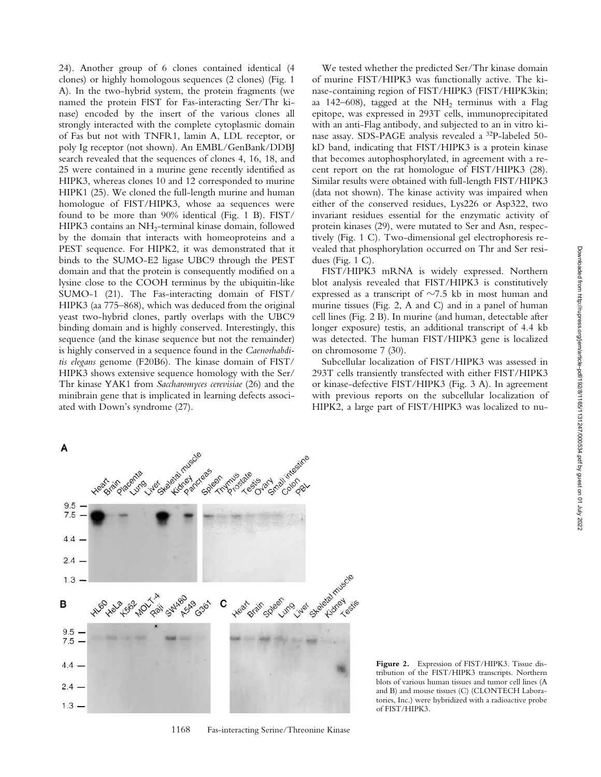24). Another group of 6 clones contained identical (4 clones) or highly homologous sequences (2 clones) (Fig. 1 A). In the two-hybrid system, the protein fragments (we named the protein FIST for Fas-interacting Ser/Thr kinase) encoded by the insert of the various clones all strongly interacted with the complete cytoplasmic domain of Fas but not with TNFR1, lamin A, LDL receptor, or poly Ig receptor (not shown). An EMBL/GenBank/DDBJ search revealed that the sequences of clones 4, 16, 18, and 25 were contained in a murine gene recently identified as HIPK3, whereas clones 10 and 12 corresponded to murine HIPK1 (25). We cloned the full-length murine and human homologue of FIST/HIPK3, whose aa sequences were found to be more than 90% identical (Fig. 1 B). FIST/ HIPK3 contains an NH<sub>2</sub>-terminal kinase domain, followed by the domain that interacts with homeoproteins and a PEST sequence. For HIPK2, it was demonstrated that it binds to the SUMO-E2 ligase UBC9 through the PEST domain and that the protein is consequently modified on a lysine close to the COOH terminus by the ubiquitin-like SUMO-1 (21). The Fas-interacting domain of FIST/ HIPK3 (aa 775–868), which was deduced from the original yeast two-hybrid clones, partly overlaps with the UBC9 binding domain and is highly conserved. Interestingly, this sequence (and the kinase sequence but not the remainder) is highly conserved in a sequence found in the *Caenorhabditis elegans* genome (F20B6). The kinase domain of FIST/ HIPK3 shows extensive sequence homology with the Ser/ Thr kinase YAK1 from *Saccharomyces cerevisiae* (26) and the minibrain gene that is implicated in learning defects associated with Down's syndrome (27).

We tested whether the predicted Ser/Thr kinase domain of murine FIST/HIPK3 was functionally active. The kinase-containing region of FIST/HIPK3 (FIST/HIPK3kin; aa 142–608), tagged at the NH<sub>2</sub> terminus with a Flag epitope, was expressed in 293T cells, immunoprecipitated with an anti-Flag antibody, and subjected to an in vitro kinase assay. SDS-PAGE analysis revealed a 32P-labeled 50 kD band, indicating that FIST/HIPK3 is a protein kinase that becomes autophosphorylated, in agreement with a recent report on the rat homologue of FIST/HIPK3 (28). Similar results were obtained with full-length FIST/HIPK3 (data not shown). The kinase activity was impaired when either of the conserved residues, Lys226 or Asp322, two invariant residues essential for the enzymatic activity of protein kinases (29), were mutated to Ser and Asn, respectively (Fig. 1 C). Two-dimensional gel electrophoresis revealed that phosphorylation occurred on Thr and Ser residues (Fig. 1 C).

FIST/HIPK3 mRNA is widely expressed. Northern blot analysis revealed that FIST/HIPK3 is constitutively expressed as a transcript of  $\sim$ 7.5 kb in most human and murine tissues (Fig. 2, A and C) and in a panel of human cell lines (Fig. 2 B). In murine (and human, detectable after longer exposure) testis, an additional transcript of 4.4 kb was detected. The human FIST/HIPK3 gene is localized on chromosome 7 (30).

Subcellular localization of FIST/HIPK3 was assessed in 293T cells transiently transfected with either FIST/HIPK3 or kinase-defective FIST/HIPK3 (Fig. 3 A). In agreement with previous reports on the subcellular localization of HIPK2, a large part of FIST/HIPK3 was localized to nu-

**Figure 2.** Expression of FIST/HIPK3. Tissue distribution of the FIST/HIPK3 transcripts. Northern blots of various human tissues and tumor cell lines (A and B) and mouse tissues (C) (CLONTECH Laboratories, Inc.) were hybridized with a radioactive probe of FIST/HIPK3.



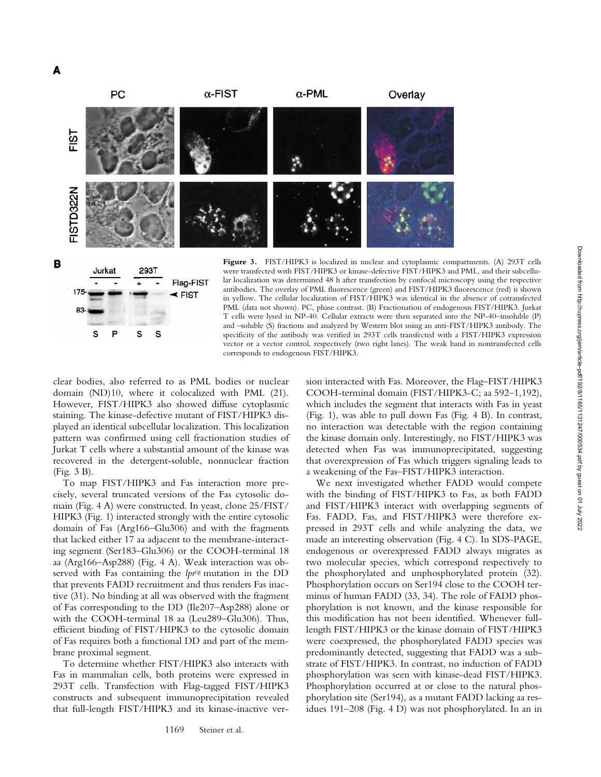



**Figure 3.** FIST/HIPK3 is localized in nuclear and cytoplasmic compartments. (A) 293T cells were transfected with FIST/HIPK3 or kinase-defective FIST/HIPK3 and PML, and their subcellular localization was determined 48 h after transfection by confocal microscopy using the respective antibodies. The overlay of PML fluorescence (green) and FIST/HIPK3 fluorescence (red) is shown in yellow. The cellular localization of FIST/HIPK3 was identical in the absence of cotransfected PML (data not shown). PC, phase contrast. (B) Fractionation of endogenous FIST/HIPK3. Jurkat T cells were lysed in NP-40. Cellular extracts were then separated into the NP-40–insoluble (P) and –soluble (S) fractions and analyzed by Western blot using an anti-FIST/HIPK3 antibody. The specificity of the antibody was verified in 293T cells transfected with a FIST/HIPK3 expression vector or a vector control, respectively (two right lanes). The weak band in nontransfected cells corresponds to endogenous FIST/HIPK3.

clear bodies, also referred to as PML bodies or nuclear domain (ND)10, where it colocalized with PML (21). However, FIST/HIPK3 also showed diffuse cytoplasmic staining. The kinase-defective mutant of FIST/HIPK3 displayed an identical subcellular localization. This localization pattern was confirmed using cell fractionation studies of Jurkat T cells where a substantial amount of the kinase was recovered in the detergent-soluble, nonnuclear fraction (Fig. 3 B).

To map FIST/HIPK3 and Fas interaction more precisely, several truncated versions of the Fas cytosolic domain (Fig. 4 A) were constructed. In yeast, clone 25/FIST/ HIPK3 (Fig. 1) interacted strongly with the entire cytosolic domain of Fas (Arg166–Glu306) and with the fragments that lacked either 17 aa adjacent to the membrane-interacting segment (Ser183–Glu306) or the COOH-terminal 18 aa (Arg166–Asp288) (Fig. 4 A). Weak interaction was observed with Fas containing the *lpr<sup>cg</sup>* mutation in the DD that prevents FADD recruitment and thus renders Fas inactive (31). No binding at all was observed with the fragment of Fas corresponding to the DD (Ile207–Asp288) alone or with the COOH-terminal 18 aa (Leu289–Glu306). Thus, efficient binding of FIST/HIPK3 to the cytosolic domain of Fas requires both a functional DD and part of the membrane proximal segment.

To determine whether FIST/HIPK3 also interacts with Fas in mammalian cells, both proteins were expressed in 293T cells. Transfection with Flag-tagged FIST/HIPK3 constructs and subsequent immunoprecipitation revealed that full-length FIST/HIPK3 and its kinase-inactive ver-

1169 Steiner et al.

sion interacted with Fas. Moreover, the Flag–FIST/HIPK3 COOH-terminal domain (FIST/HIPK3-C; aa 592–1,192), which includes the segment that interacts with Fas in yeast (Fig. 1), was able to pull down Fas (Fig. 4 B). In contrast, no interaction was detectable with the region containing the kinase domain only. Interestingly, no FIST/HIPK3 was detected when Fas was immunoprecipitated, suggesting that overexpression of Fas which triggers signaling leads to a weakening of the Fas–FIST/HIPK3 interaction.

We next investigated whether FADD would compete with the binding of FIST/HIPK3 to Fas, as both FADD and FIST/HIPK3 interact with overlapping segments of Fas. FADD, Fas, and FIST/HIPK3 were therefore expressed in 293T cells and while analyzing the data, we made an interesting observation (Fig. 4 C). In SDS-PAGE, endogenous or overexpressed FADD always migrates as two molecular species, which correspond respectively to the phosphorylated and unphosphorylated protein (32). Phosphorylation occurs on Ser194 close to the COOH terminus of human FADD (33, 34). The role of FADD phosphorylation is not known, and the kinase responsible for this modification has not been identified. Whenever fulllength FIST/HIPK3 or the kinase domain of FIST/HIPK3 were coexpressed, the phosphorylated FADD species was predominantly detected, suggesting that FADD was a substrate of FIST/HIPK3. In contrast, no induction of FADD phosphorylation was seen with kinase-dead FIST/HIPK3. Phosphorylation occurred at or close to the natural phosphorylation site (Ser194), as a mutant FADD lacking aa residues 191–208 (Fig. 4 D) was not phosphorylated. In an in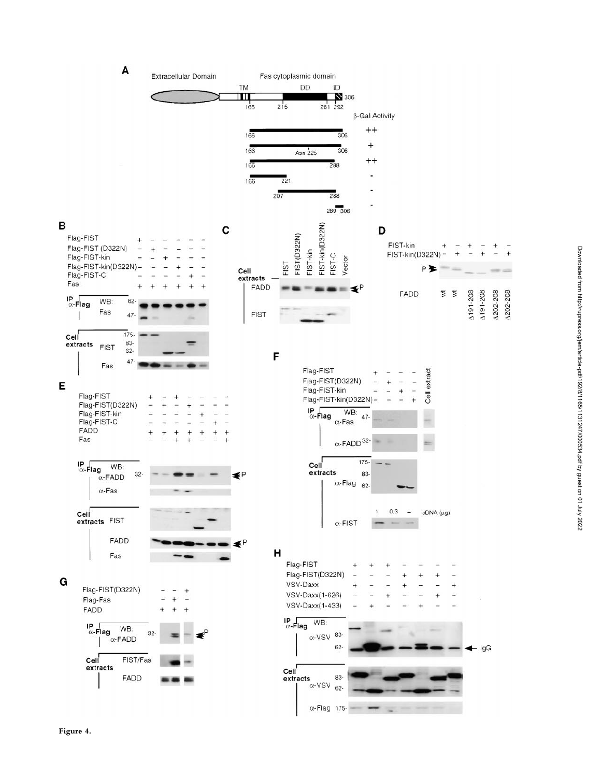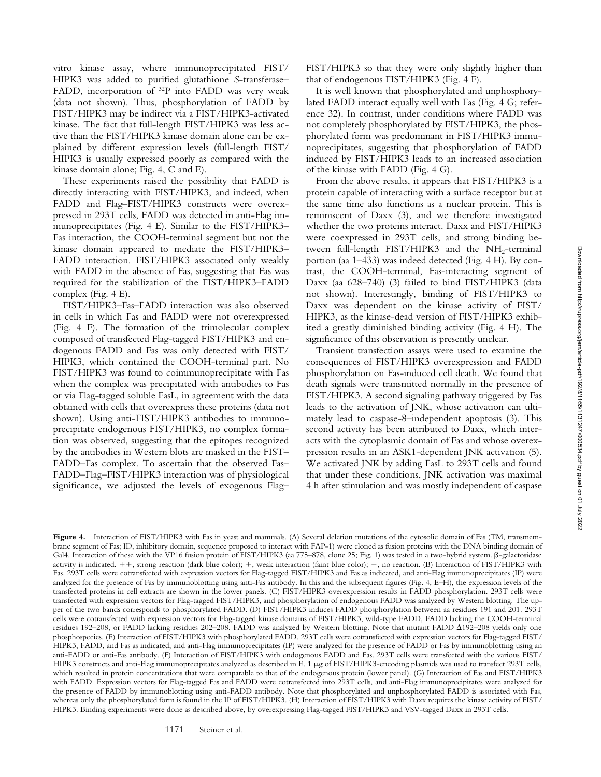vitro kinase assay, where immunoprecipitated FIST/ HIPK3 was added to purified glutathione *S*-transferase– FADD, incorporation of <sup>32</sup>P into FADD was very weak (data not shown). Thus, phosphorylation of FADD by FIST/HIPK3 may be indirect via a FIST/HIPK3-activated kinase. The fact that full-length FIST/HIPK3 was less active than the FIST/HIPK3 kinase domain alone can be explained by different expression levels (full-length FIST/ HIPK3 is usually expressed poorly as compared with the kinase domain alone; Fig. 4, C and E).

These experiments raised the possibility that FADD is directly interacting with FIST/HIPK3, and indeed, when FADD and Flag-FIST/HIPK3 constructs were overexpressed in 293T cells, FADD was detected in anti-Flag immunoprecipitates (Fig. 4 E). Similar to the FIST/HIPK3– Fas interaction, the COOH-terminal segment but not the kinase domain appeared to mediate the FIST/HIPK3– FADD interaction. FIST/HIPK3 associated only weakly with FADD in the absence of Fas, suggesting that Fas was required for the stabilization of the FIST/HIPK3–FADD complex (Fig. 4 E).

FIST/HIPK3–Fas–FADD interaction was also observed in cells in which Fas and FADD were not overexpressed (Fig. 4 F). The formation of the trimolecular complex composed of transfected Flag-tagged FIST/HIPK3 and endogenous FADD and Fas was only detected with FIST/ HIPK3, which contained the COOH-terminal part. No FIST/HIPK3 was found to coimmunoprecipitate with Fas when the complex was precipitated with antibodies to Fas or via Flag-tagged soluble FasL, in agreement with the data obtained with cells that overexpress these proteins (data not shown). Using anti-FIST/HIPK3 antibodies to immunoprecipitate endogenous FIST/HIPK3, no complex formation was observed, suggesting that the epitopes recognized by the antibodies in Western blots are masked in the FIST– FADD–Fas complex. To ascertain that the observed Fas– FADD–Flag–FIST/HIPK3 interaction was of physiological significance, we adjusted the levels of exogenous Flag–

FIST/HIPK3 so that they were only slightly higher than that of endogenous FIST/HIPK3 (Fig. 4 F).

It is well known that phosphorylated and unphosphorylated FADD interact equally well with Fas (Fig. 4 G; reference 32). In contrast, under conditions where FADD was not completely phosphorylated by FIST/HIPK3, the phosphorylated form was predominant in FIST/HIPK3 immunoprecipitates, suggesting that phosphorylation of FADD induced by FIST/HIPK3 leads to an increased association of the kinase with FADD (Fig. 4 G).

From the above results, it appears that FIST/HIPK3 is a protein capable of interacting with a surface receptor but at the same time also functions as a nuclear protein. This is reminiscent of Daxx (3), and we therefore investigated whether the two proteins interact. Daxx and FIST/HIPK3 were coexpressed in 293T cells, and strong binding between full-length FIST/HIPK3 and the  $NH<sub>2</sub>$ -terminal portion (aa 1–433) was indeed detected (Fig. 4 H). By contrast, the COOH-terminal, Fas-interacting segment of Daxx (aa 628–740) (3) failed to bind FIST/HIPK3 (data not shown). Interestingly, binding of FIST/HIPK3 to Daxx was dependent on the kinase activity of FIST/ HIPK3, as the kinase-dead version of FIST/HIPK3 exhibited a greatly diminished binding activity (Fig. 4 H). The significance of this observation is presently unclear.

Transient transfection assays were used to examine the consequences of FIST/HIPK3 overexpression and FADD phosphorylation on Fas-induced cell death. We found that death signals were transmitted normally in the presence of FIST/HIPK3. A second signaling pathway triggered by Fas leads to the activation of JNK, whose activation can ultimately lead to caspase-8–independent apoptosis (3). This second activity has been attributed to Daxx, which interacts with the cytoplasmic domain of Fas and whose overexpression results in an ASK1-dependent JNK activation (5). We activated JNK by adding FasL to 293T cells and found that under these conditions, JNK activation was maximal 4 h after stimulation and was mostly independent of caspase

Figure 4. Interaction of FIST/HIPK3 with Fas in yeast and mammals. (A) Several deletion mutations of the cytosolic domain of Fas (TM, transmembrane segment of Fas; ID, inhibitory domain, sequence proposed to interact with FAP-1) were cloned as fusion proteins with the DNA binding domain of Gal4. Interaction of these with the VP16 fusion protein of FIST/HIPK3 (aa 775–878, clone 25; Fig. 1) was tested in a two-hybrid system.  $\beta$ -galactosidase activity is indicated.  $++$ , strong reaction (dark blue color);  $+$ , weak interaction (faint blue color);  $-$ , no reaction. (B) Interaction of FIST/HIPK3 with Fas. 293T cells were cotransfected with expression vectors for Flag-tagged FIST/HIPK3 and Fas as indicated, and anti-Flag immunoprecipitates (IP) were analyzed for the presence of Fas by immunoblotting using anti-Fas antibody. In this and the subsequent figures (Fig. 4, E–H), the expression levels of the transfected proteins in cell extracts are shown in the lower panels. (C) FIST/HIPK3 overexpression results in FADD phosphorylation. 293T cells were transfected with expression vectors for Flag-tagged FIST/HIPK3, and phosphorylation of endogenous FADD was analyzed by Western blotting. The upper of the two bands corresponds to phosphorylated FADD. (D) FIST/HIPK3 induces FADD phosphorylation between aa residues 191 and 201. 293T cells were cotransfected with expression vectors for Flag-tagged kinase domains of FIST/HIPK3, wild-type FADD, FADD lacking the COOH-terminal residues 192–208, or FADD lacking residues 202–208. FADD was analyzed by Western blotting. Note that mutant FADD  $\Delta$ 192–208 yields only one phosphospecies. (E) Interaction of FIST/HIPK3 with phosphorylated FADD. 293T cells were cotransfected with expression vectors for Flag-tagged FIST/ HIPK3, FADD, and Fas as indicated, and anti-Flag immunoprecipitates (IP) were analyzed for the presence of FADD or Fas by immunoblotting using an anti-FADD or anti-Fas antibody. (F) Interaction of FIST/HIPK3 with endogenous FADD and Fas. 293T cells were transfected with the various FIST/ HIPK3 constructs and anti-Flag immunoprecipitates analyzed as described in E. 1 µg of FIST/HIPK3-encoding plasmids was used to transfect 293T cells, which resulted in protein concentrations that were comparable to that of the endogenous protein (lower panel). (G) Interaction of Fas and FIST/HIPK3 with FADD. Expression vectors for Flag-tagged Fas and FADD were cotransfected into 293T cells, and anti-Flag immunoprecipitates were analyzed for the presence of FADD by immunoblotting using anti-FADD antibody. Note that phosphorylated and unphosphorylated FADD is associated with Fas, whereas only the phosphorylated form is found in the IP of FIST/HIPK3. (H) Interaction of FIST/HIPK3 with Daxx requires the kinase activity of FIST/ HIPK3. Binding experiments were done as described above, by overexpressing Flag-tagged FIST/HIPK3 and VSV-tagged Daxx in 293T cells.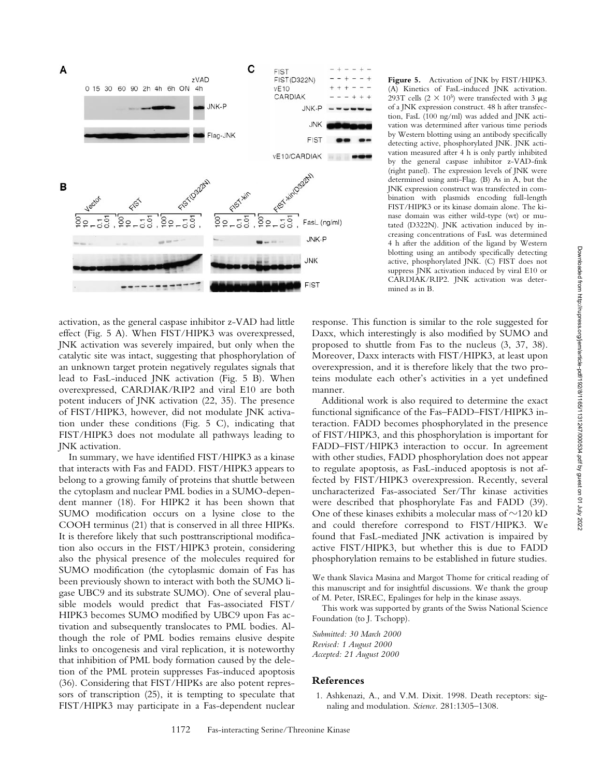

activation, as the general caspase inhibitor z-VAD had little effect (Fig. 5 A). When FIST/HIPK3 was overexpressed, JNK activation was severely impaired, but only when the catalytic site was intact, suggesting that phosphorylation of an unknown target protein negatively regulates signals that lead to FasL-induced JNK activation (Fig. 5 B). When overexpressed, CARDIAK/RIP2 and viral E10 are both potent inducers of JNK activation (22, 35). The presence of FIST/HIPK3, however, did not modulate JNK activation under these conditions (Fig. 5 C), indicating that FIST/HIPK3 does not modulate all pathways leading to JNK activation.

In summary, we have identified FIST/HIPK3 as a kinase that interacts with Fas and FADD. FIST/HIPK3 appears to belong to a growing family of proteins that shuttle between the cytoplasm and nuclear PML bodies in a SUMO-dependent manner (18). For HIPK2 it has been shown that SUMO modification occurs on a lysine close to the COOH terminus (21) that is conserved in all three HIPKs. It is therefore likely that such posttranscriptional modification also occurs in the FIST/HIPK3 protein, considering also the physical presence of the molecules required for SUMO modification (the cytoplasmic domain of Fas has been previously shown to interact with both the SUMO ligase UBC9 and its substrate SUMO). One of several plausible models would predict that Fas-associated FIST/ HIPK3 becomes SUMO modified by UBC9 upon Fas activation and subsequently translocates to PML bodies. Although the role of PML bodies remains elusive despite links to oncogenesis and viral replication, it is noteworthy that inhibition of PML body formation caused by the deletion of the PML protein suppresses Fas-induced apoptosis (36). Considering that FIST/HIPKs are also potent repressors of transcription (25), it is tempting to speculate that FIST/HIPK3 may participate in a Fas-dependent nuclear

**Figure 5.** Activation of JNK by FIST/HIPK3. (A) Kinetics of FasL-induced JNK activation. 293T cells  $(2 \times 10^5)$  were transfected with 3  $\mu$ g of a JNK expression construct. 48 h after transfection, FasL (100 ng/ml) was added and JNK activation was determined after various time periods by Western blotting using an antibody specifically detecting active, phosphorylated JNK. JNK activation measured after 4 h is only partly inhibited by the general caspase inhibitor z-VAD-fmk (right panel). The expression levels of JNK were determined using anti-Flag. (B) As in A, but the JNK expression construct was transfected in combination with plasmids encoding full-length FIST/HIPK3 or its kinase domain alone. The kinase domain was either wild-type (wt) or mutated (D322N). JNK activation induced by increasing concentrations of FasL was determined 4 h after the addition of the ligand by Western blotting using an antibody specifically detecting active, phosphorylated JNK. (C) FIST does not suppress JNK activation induced by viral E10 or CARDIAK/RIP2. JNK activation was determined as in B.

response. This function is similar to the role suggested for Daxx, which interestingly is also modified by SUMO and proposed to shuttle from Fas to the nucleus (3, 37, 38). Moreover, Daxx interacts with FIST/HIPK3, at least upon overexpression, and it is therefore likely that the two proteins modulate each other's activities in a yet undefined manner.

Additional work is also required to determine the exact functional significance of the Fas–FADD–FIST/HIPK3 interaction. FADD becomes phosphorylated in the presence of FIST/HIPK3, and this phosphorylation is important for FADD–FIST/HIPK3 interaction to occur. In agreement with other studies, FADD phosphorylation does not appear to regulate apoptosis, as FasL-induced apoptosis is not affected by FIST/HIPK3 overexpression. Recently, several uncharacterized Fas-associated Ser/Thr kinase activities were described that phosphorylate Fas and FADD (39). One of these kinases exhibits a molecular mass of  $\sim$ 120 kD and could therefore correspond to FIST/HIPK3. We found that FasL-mediated JNK activation is impaired by active FIST/HIPK3, but whether this is due to FADD phosphorylation remains to be established in future studies.

We thank Slavica Masina and Margot Thome for critical reading of this manuscript and for insightful discussions. We thank the group of M. Peter, ISREC, Epalinges for help in the kinase assays.

This work was supported by grants of the Swiss National Science Foundation (to J. Tschopp).

*Submitted: 30 March 2000 Revised: 1 August 2000 Accepted: 21 August 2000*

## **References**

1. Ashkenazi, A., and V.M. Dixit. 1998. Death receptors: signaling and modulation. *Science.* 281:1305–1308.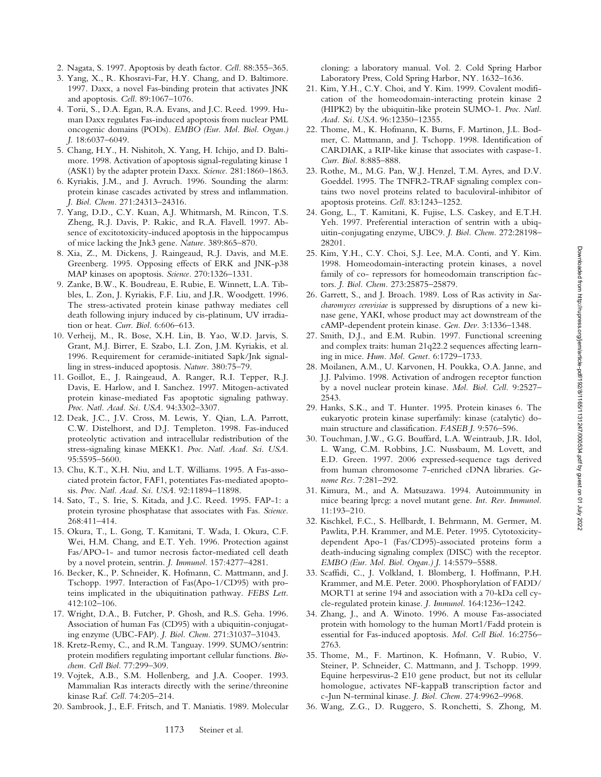- 2. Nagata, S. 1997. Apoptosis by death factor. *Cell.* 88:355–365.
- 3. Yang, X., R. Khosravi-Far, H.Y. Chang, and D. Baltimore. 1997. Daxx, a novel Fas-binding protein that activates JNK and apoptosis. *Cell.* 89:1067–1076.
- 4. Torii, S., D.A. Egan, R.A. Evans, and J.C. Reed. 1999. Human Daxx regulates Fas-induced apoptosis from nuclear PML oncogenic domains (PODs). *EMBO (Eur. Mol. Biol. Organ.) J.* 18:6037–6049.
- 5. Chang, H.Y., H. Nishitoh, X. Yang, H. Ichijo, and D. Baltimore. 1998. Activation of apoptosis signal-regulating kinase 1 (ASK1) by the adapter protein Daxx. *Science.* 281:1860–1863.
- 6. Kyriakis, J.M., and J. Avruch. 1996. Sounding the alarm: protein kinase cascades activated by stress and inflammation. *J. Biol. Chem.* 271:24313–24316.
- 7. Yang, D.D., C.Y. Kuan, A.J. Whitmarsh, M. Rincon, T.S. Zheng, R.J. Davis, P. Rakic, and R.A. Flavell. 1997. Absence of excitotoxicity-induced apoptosis in the hippocampus of mice lacking the Jnk3 gene. *Nature.* 389:865–870.
- 8. Xia, Z., M. Dickens, J. Raingeaud, R.J. Davis, and M.E. Greenberg. 1995. Opposing effects of ERK and JNK-p38 MAP kinases on apoptosis. *Science.* 270:1326–1331.
- 9. Zanke, B.W., K. Boudreau, E. Rubie, E. Winnett, L.A. Tibbles, L. Zon, J. Kyriakis, F.F. Liu, and J.R. Woodgett. 1996. The stress-activated protein kinase pathway mediates cell death following injury induced by cis-platinum, UV irradiation or heat. *Curr. Biol.* 6:606–613.
- 10. Verheij, M., R. Bose, X.H. Lin, B. Yao, W.D. Jarvis, S. Grant, M.J. Birrer, E. Szabo, L.I. Zon, J.M. Kyriakis, et al. 1996. Requirement for ceramide-initiated Sapk/Jnk signalling in stress-induced apoptosis. *Nature.* 380:75–79.
- 11. Goillot, E., J. Raingeaud, A. Ranger, R.I. Tepper, R.J. Davis, E. Harlow, and I. Sanchez. 1997. Mitogen-activated protein kinase-mediated Fas apoptotic signaling pathway. *Proc. Natl. Acad. Sci. USA.* 94:3302–3307.
- 12. Deak, J.C., J.V. Cross, M. Lewis, Y. Qian, L.A. Parrott, C.W. Distelhorst, and D.J. Templeton. 1998. Fas-induced proteolytic activation and intracellular redistribution of the stress-signaling kinase MEKK1. *Proc. Natl. Acad. Sci. USA.* 95:5595–5600.
- 13. Chu, K.T., X.H. Niu, and L.T. Williams. 1995. A Fas-associated protein factor, FAF1, potentiates Fas-mediated apoptosis. *Proc. Natl. Acad. Sci. USA.* 92:11894–11898.
- 14. Sato, T., S. Irie, S. Kitada, and J.C. Reed. 1995. FAP-1: a protein tyrosine phosphatase that associates with Fas. *Science.* 268:411–414.
- 15. Okura, T., L. Gong, T. Kamitani, T. Wada, I. Okura, C.F. Wei, H.M. Chang, and E.T. Yeh. 1996. Protection against Fas/APO-1- and tumor necrosis factor-mediated cell death by a novel protein, sentrin. *J. Immunol.* 157:4277–4281.
- 16. Becker, K., P. Schneider, K. Hofmann, C. Mattmann, and J. Tschopp. 1997. Interaction of Fas(Apo-1/CD95) with proteins implicated in the ubiquitination pathway. *FEBS Lett.* 412:102–106.
- 17. Wright, D.A., B. Futcher, P. Ghosh, and R.S. Geha. 1996. Association of human Fas (CD95) with a ubiquitin-conjugating enzyme (UBC-FAP). *J. Biol. Chem.* 271:31037–31043.
- 18. Kretz-Remy, C., and R.M. Tanguay. 1999. SUMO/sentrin: protein modifiers regulating important cellular functions. *Biochem. Cell Biol.* 77:299–309.
- 19. Vojtek, A.B., S.M. Hollenberg, and J.A. Cooper. 1993. Mammalian Ras interacts directly with the serine/threonine kinase Raf. *Cell.* 74:205–214.
- 20. Sambrook, J., E.F. Fritsch, and T. Maniatis. 1989. Molecular

cloning: a laboratory manual. Vol. 2. Cold Spring Harbor Laboratory Press, Cold Spring Harbor, NY. 1632–1636.

- 21. Kim, Y.H., C.Y. Choi, and Y. Kim. 1999. Covalent modification of the homeodomain-interacting protein kinase 2 (HIPK2) by the ubiquitin-like protein SUMO-1. *Proc. Natl. Acad. Sci. USA.* 96:12350–12355.
- 22. Thome, M., K. Hofmann, K. Burns, F. Martinon, J.L. Bodmer, C. Mattmann, and J. Tschopp. 1998. Identification of CARDIAK, a RIP-like kinase that associates with caspase-1. *Curr. Biol.* 8:885–888.
- 23. Rothe, M., M.G. Pan, W.J. Henzel, T.M. Ayres, and D.V. Goeddel. 1995. The TNFR2-TRAF signaling complex contains two novel proteins related to baculoviral-inhibitor of apoptosis proteins. *Cell.* 83:1243–1252.
- 24. Gong, L., T. Kamitani, K. Fujise, L.S. Caskey, and E.T.H. Yeh. 1997. Preferential interaction of sentrin with a ubiquitin-conjugating enzyme, UBC9. *J. Biol. Chem.* 272:28198– 28201.
- 25. Kim, Y.H., C.Y. Choi, S.J. Lee, M.A. Conti, and Y. Kim. 1998. Homeodomain-interacting protein kinases, a novel family of co- repressors for homeodomain transcription factors. *J. Biol. Chem.* 273:25875–25879.
- 26. Garrett, S., and J. Broach. 1989. Loss of Ras activity in *Saccharomyces cerevisiae* is suppressed by disruptions of a new kinase gene, YAKI, whose product may act downstream of the cAMP-dependent protein kinase. *Gen. Dev.* 3:1336–1348.
- 27. Smith, D.J., and E.M. Rubin. 1997. Functional screening and complex traits: human 21q22.2 sequences affecting learning in mice. *Hum. Mol. Genet.* 6:1729–1733.
- 28. Moilanen, A.M., U. Karvonen, H. Poukka, O.A. Janne, and J.J. Palvimo. 1998. Activation of androgen receptor function by a novel nuclear protein kinase. *Mol. Biol. Cell.* 9:2527– 2543.
- 29. Hanks, S.K., and T. Hunter. 1995. Protein kinases 6. The eukaryotic protein kinase superfamily: kinase (catalytic) domain structure and classification. *FASEB J.* 9:576–596.
- 30. Touchman, J.W., G.G. Bouffard, L.A. Weintraub, J.R. Idol, L. Wang, C.M. Robbins, J.C. Nussbaum, M. Lovett, and E.D. Green. 1997. 2006 expressed-sequence tags derived from human chromosome 7-enriched cDNA libraries. *Genome Res.* 7:281–292.
- 31. Kimura, M., and A. Matsuzawa. 1994. Autoimmunity in mice bearing lprcg: a novel mutant gene. *Int. Rev. Immunol.* 11:193–210.
- 32. Kischkel, F.C., S. Hellbardt, I. Behrmann, M. Germer, M. Pawlita, P.H. Krammer, and M.E. Peter. 1995. Cytotoxicitydependent Apo-1 (Fas/CD95)-associated proteins form a death-inducing signaling complex (DISC) with the receptor. *EMBO (Eur. Mol. Biol. Organ.) J.* 14:5579–5588.
- 33. Scaffidi, C., J. Volkland, I. Blomberg, I. Hoffmann, P.H. Krammer, and M.E. Peter. 2000. Phosphorylation of FADD/ MORT1 at serine 194 and association with a 70-kDa cell cycle-regulated protein kinase. *J. Immunol.* 164:1236–1242.
- 34. Zhang, J., and A. Winoto. 1996. A mouse Fas-associated protein with homology to the human Mort1/Fadd protein is essential for Fas-induced apoptosis. *Mol. Cell Biol.* 16:2756– 2763.
- 35. Thome, M., F. Martinon, K. Hofmann, V. Rubio, V. Steiner, P. Schneider, C. Mattmann, and J. Tschopp. 1999. Equine herpesvirus-2 E10 gene product, but not its cellular homologue, activates NF-kappaB transcription factor and c-Jun N-terminal kinase. *J. Biol. Chem.* 274:9962–9968.
- 36. Wang, Z.G., D. Ruggero, S. Ronchetti, S. Zhong, M.